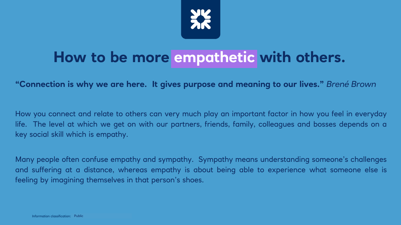

## **How to be more empathetic with others.**

#### **"Connection is why we are here. It gives purpose and meaning to our lives."** *Brené Brown*

How you connect and relate to others can very much play an important factor in how you feel in everyday life. The level at which we get on with our partners, friends, family, colleagues and bosses depends on a key social skill which is empathy.

Many people often confuse empathy and sympathy. Sympathy means understanding someone's challenges and suffering at a distance, whereas empathy is about being able to experience what someone else is feeling by imagining themselves in that person's shoes.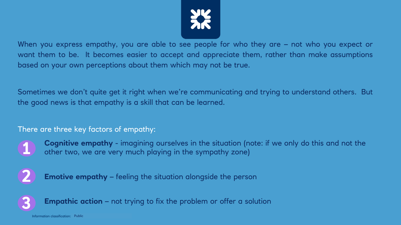

When you express empathy, you are able to see people for who they are – not who you expect or want them to be. It becomes easier to accept and appreciate them, rather than make assumptions based on your own perceptions about them which may not be true.

Sometimes we don't quite get it right when we're communicating and trying to understand others. But the good news is that empathy is a skill that can be learned.

#### There are three key factors of empathy:



**Cognitive empathy** - imagining ourselves in the situation (note: if we only do this and not the other two, we are very much playing in the sympathy zone)



**Emotive empathy** – feeling the situation alongside the person



**Empathic action** – not trying to fix the problem or offer a solution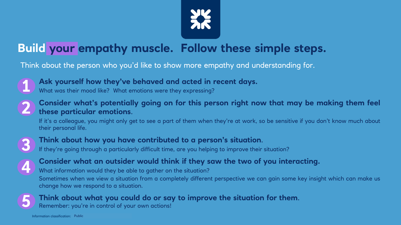

### **Build your empathy muscle. Follow these simple steps.**

Think about the person who you'd like to show more empathy and understanding for.



**Ask yourself how they've behaved and acted in recent days.**

What was their mood like? What emotions were they expressing?



If it's a colleague, you might only get to see a part of them when they're at work, so be sensitive if you don't know much about their personal life.



#### **Think about how you have contributed to a person's situation**.

If they're going through a particularly difficult time, are you helping to improve their situation?



#### **Consider what an outsider would think if they saw the two of you interacting.**

What information would they be able to gather on the situation? Sometimes when we view a situation from a completely different perspective we can gain some key insight which can make us

change how we respond to a situation.



## **Think about what you could do or say to improve the situation for them**.

Remember: you're in control of your own actions!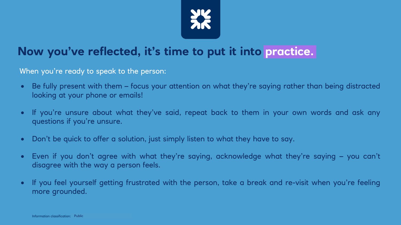

### **Now you've reflected, it's time to put it into practice.**

When you're ready to speak to the person:

- Be fully present with them focus your attention on what they're saying rather than being distracted looking at your phone or emails!
- If you're unsure about what they've said, repeat back to them in your own words and ask any questions if you're unsure.
- Don't be quick to offer a solution, just simply listen to what they have to say.
- Even if you don't agree with what they're saying, acknowledge what they're saying you can't disagree with the way a person feels.
- If you feel yourself getting frustrated with the person, take a break and re-visit when you're feeling more grounded.